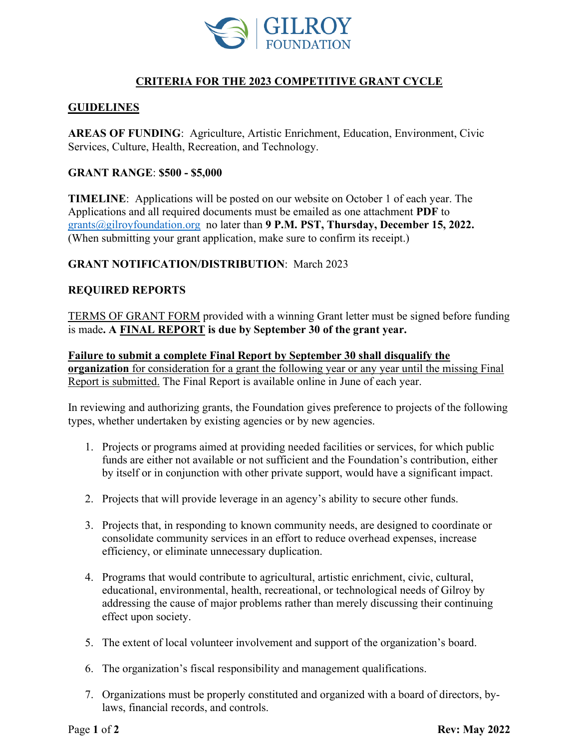

# **CRITERIA FOR THE 2023 COMPETITIVE GRANT CYCLE**

# **GUIDELINES**

**AREAS OF FUNDING**: Agriculture, Artistic Enrichment, Education, Environment, Civic Services, Culture, Health, Recreation, and Technology.

#### **GRANT RANGE**: **\$500 - \$5,000**

**TIMELINE**: Applications will be posted on our website on October 1 of each year. The Applications and all required documents must be emailed as one attachment **PDF** to [grants@gilroyfoundation.org](mailto:grants@gilroyfoundation.org) no later than **9 P.M. PST, Thursday, December 15, 2022.**  (When submitting your grant application, make sure to confirm its receipt.)

## **GRANT NOTIFICATION/DISTRIBUTION**: March 2023

## **REQUIRED REPORTS**

TERMS OF GRANT FORM provided with a winning Grant letter must be signed before funding is made**. A FINAL REPORT is due by September 30 of the grant year.**

**Failure to submit a complete Final Report by September 30 shall disqualify the organization** for consideration for a grant the following year or any year until the missing Final Report is submitted. The Final Report is available online in June of each year.

In reviewing and authorizing grants, the Foundation gives preference to projects of the following types, whether undertaken by existing agencies or by new agencies.

- 1. Projects or programs aimed at providing needed facilities or services, for which public funds are either not available or not sufficient and the Foundation's contribution, either by itself or in conjunction with other private support, would have a significant impact.
- 2. Projects that will provide leverage in an agency's ability to secure other funds.
- 3. Projects that, in responding to known community needs, are designed to coordinate or consolidate community services in an effort to reduce overhead expenses, increase efficiency, or eliminate unnecessary duplication.
- 4. Programs that would contribute to agricultural, artistic enrichment, civic, cultural, educational, environmental, health, recreational, or technological needs of Gilroy by addressing the cause of major problems rather than merely discussing their continuing effect upon society.
- 5. The extent of local volunteer involvement and support of the organization's board.
- 6. The organization's fiscal responsibility and management qualifications.
- 7. Organizations must be properly constituted and organized with a board of directors, bylaws, financial records, and controls.